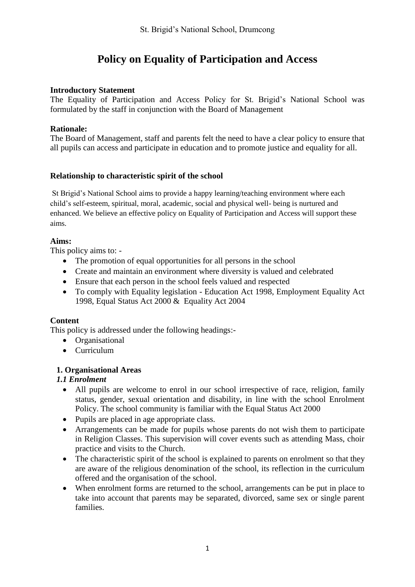# **Policy on Equality of Participation and Access**

### **Introductory Statement**

The Equality of Participation and Access Policy for St. Brigid's National School was formulated by the staff in conjunction with the Board of Management

### **Rationale:**

The Board of Management, staff and parents felt the need to have a clear policy to ensure that all pupils can access and participate in education and to promote justice and equality for all.

#### **Relationship to characteristic spirit of the school**

St Brigid's National School aims to provide a happy learning/teaching environment where each child's self-esteem, spiritual, moral, academic, social and physical well- being is nurtured and enhanced. We believe an effective policy on Equality of Participation and Access will support these aims.

### **Aims:**

This policy aims to: -

- The promotion of equal opportunities for all persons in the school
- Create and maintain an environment where diversity is valued and celebrated
- Ensure that each person in the school feels valued and respected
- To comply with Equality legislation Education Act 1998, Employment Equality Act 1998, Equal Status Act 2000 & Equality Act 2004

## **Content**

This policy is addressed under the following headings:-

- Organisational
- Curriculum

## **1. Organisational Areas**

### *1.1 Enrolment*

- All pupils are welcome to enrol in our school irrespective of race, religion, family status, gender, sexual orientation and disability, in line with the school Enrolment Policy. The school community is familiar with the Equal Status Act 2000
- Pupils are placed in age appropriate class.
- Arrangements can be made for pupils whose parents do not wish them to participate in Religion Classes. This supervision will cover events such as attending Mass, choir practice and visits to the Church.
- The characteristic spirit of the school is explained to parents on enrolment so that they are aware of the religious denomination of the school, its reflection in the curriculum offered and the organisation of the school.
- When enrolment forms are returned to the school, arrangements can be put in place to take into account that parents may be separated, divorced, same sex or single parent families.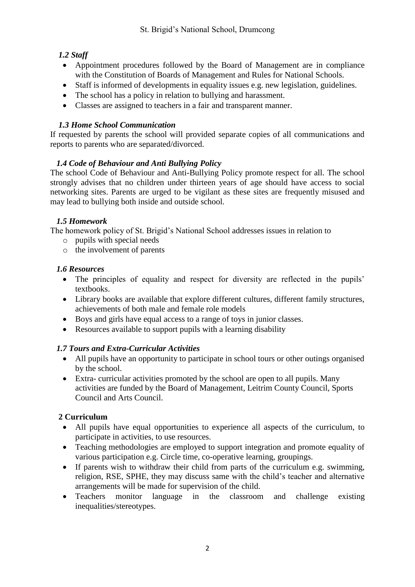# *1.2 Staff*

- Appointment procedures followed by the Board of Management are in compliance with the Constitution of Boards of Management and Rules for National Schools.
- Staff is informed of developments in equality issues e.g. new legislation, guidelines.
- The school has a policy in relation to bullying and harassment.
- Classes are assigned to teachers in a fair and transparent manner.

# *1.3 Home School Communication*

If requested by parents the school will provided separate copies of all communications and reports to parents who are separated/divorced.

# *1.4 Code of Behaviour and Anti Bullying Policy*

The school Code of Behaviour and Anti-Bullying Policy promote respect for all. The school strongly advises that no children under thirteen years of age should have access to social networking sites. Parents are urged to be vigilant as these sites are frequently misused and may lead to bullying both inside and outside school.

# *1.5 Homework*

The homework policy of St. Brigid's National School addresses issues in relation to

- o pupils with special needs
- o the involvement of parents

# *1.6 Resources*

- The principles of equality and respect for diversity are reflected in the pupils' textbooks.
- Library books are available that explore different cultures, different family structures, achievements of both male and female role models
- Boys and girls have equal access to a range of toys in junior classes.
- Resources available to support pupils with a learning disability

# *1.7 Tours and Extra-Curricular Activities*

- All pupils have an opportunity to participate in school tours or other outings organised by the school.
- Extra- curricular activities promoted by the school are open to all pupils. Many activities are funded by the Board of Management, Leitrim County Council, Sports Council and Arts Council.

# **2 Curriculum**

- All pupils have equal opportunities to experience all aspects of the curriculum, to participate in activities, to use resources.
- Teaching methodologies are employed to support integration and promote equality of various participation e.g. Circle time, co-operative learning, groupings.
- If parents wish to withdraw their child from parts of the curriculum e.g. swimming, religion, RSE, SPHE, they may discuss same with the child's teacher and alternative arrangements will be made for supervision of the child.
- Teachers monitor language in the classroom and challenge existing inequalities/stereotypes.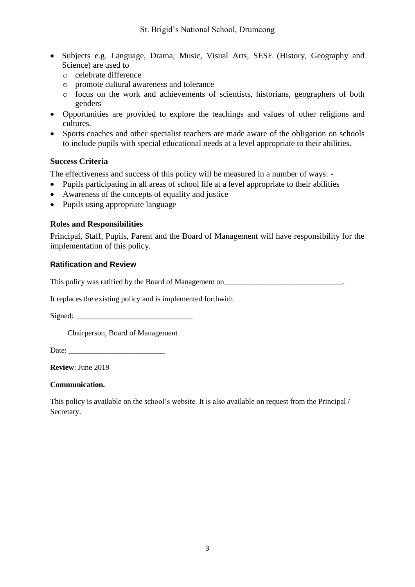- Subjects e.g. Language, Drama, Music, Visual Arts, SESE (History, Geography and Science) are used to
	- o celebrate difference
	- o promote cultural awareness and tolerance
	- o focus on the work and achievements of scientists, historians, geographers of both genders
- Opportunities are provided to explore the teachings and values of other religions and cultures.
- Sports coaches and other specialist teachers are made aware of the obligation on schools to include pupils with special educational needs at a level appropriate to their abilities.

#### **Success Criteria**

The effectiveness and success of this policy will be measured in a number of ways: -

- Pupils participating in all areas of school life at a level appropriate to their abilities
- Awareness of the concepts of equality and justice
- Pupils using appropriate language

#### **Roles and Responsibilities**

Principal, Staff, Pupils, Parent and the Board of Management will have responsibility for the implementation of this policy.

#### **Ratification and Review**

This policy was ratified by the Board of Management on

It replaces the existing policy and is implemented forthwith.

Signed:

Chairperson, Board of Management

Date:

**Review**: June 2019

#### **Communication.**

This policy is available on the school's website. It is also available on request from the Principal / Secretary.